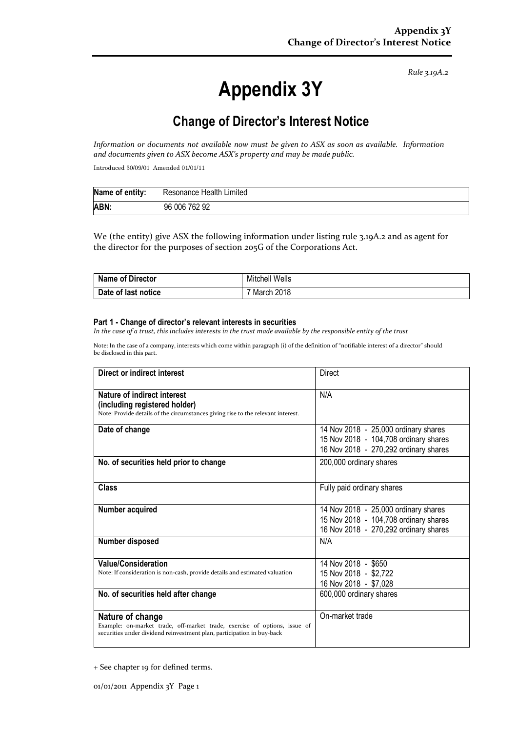*Rule 3.19A.2*

# **Appendix 3Y**

# **Change of Director's Interest Notice**

*Information or documents not available now must be given to ASX as soon as available. Information and documents given to ASX become ASX's property and may be made public.*

Introduced 30/09/01 Amended 01/01/11

| Name of entity: | Resonance Health Limited |
|-----------------|--------------------------|
| ABN:            | 96 006 762 92            |

We (the entity) give ASX the following information under listing rule 3.19A.2 and as agent for the director for the purposes of section 205G of the Corporations Act.

| Name of Director    | <b>Mitchell Wells</b>   |
|---------------------|-------------------------|
| Date of last notice | <sup>7</sup> March 2018 |

#### **Part 1 - Change of director's relevant interests in securities**

*In the case of a trust, this includes interests in the trust made available by the responsible entity of the trust*

Note: In the case of a company, interests which come within paragraph (i) of the definition of "notifiable interest of a director" should be disclosed in this part.

| Direct or indirect interest                                                                                                                                             | Direct                                                                                                                 |
|-------------------------------------------------------------------------------------------------------------------------------------------------------------------------|------------------------------------------------------------------------------------------------------------------------|
| Nature of indirect interest<br>(including registered holder)<br>Note: Provide details of the circumstances giving rise to the relevant interest.                        | N/A                                                                                                                    |
| Date of change                                                                                                                                                          | 14 Nov 2018 - 25,000 ordinary shares<br>15 Nov 2018 - 104,708 ordinary shares<br>16 Nov 2018 - 270,292 ordinary shares |
| No. of securities held prior to change                                                                                                                                  | 200,000 ordinary shares                                                                                                |
| <b>Class</b>                                                                                                                                                            | Fully paid ordinary shares                                                                                             |
| Number acquired                                                                                                                                                         | 14 Nov 2018 - 25,000 ordinary shares<br>15 Nov 2018 - 104,708 ordinary shares<br>16 Nov 2018 - 270,292 ordinary shares |
| Number disposed                                                                                                                                                         | N/A                                                                                                                    |
| <b>Value/Consideration</b><br>Note: If consideration is non-cash, provide details and estimated valuation                                                               | 14 Nov 2018 - \$650<br>15 Nov 2018 - \$2,722<br>16 Nov 2018 - \$7,028                                                  |
| No. of securities held after change                                                                                                                                     | 600,000 ordinary shares                                                                                                |
| Nature of change<br>Example: on-market trade, off-market trade, exercise of options, issue of<br>securities under dividend reinvestment plan, participation in buy-back | On-market trade                                                                                                        |

<sup>+</sup> See chapter 19 for defined terms.